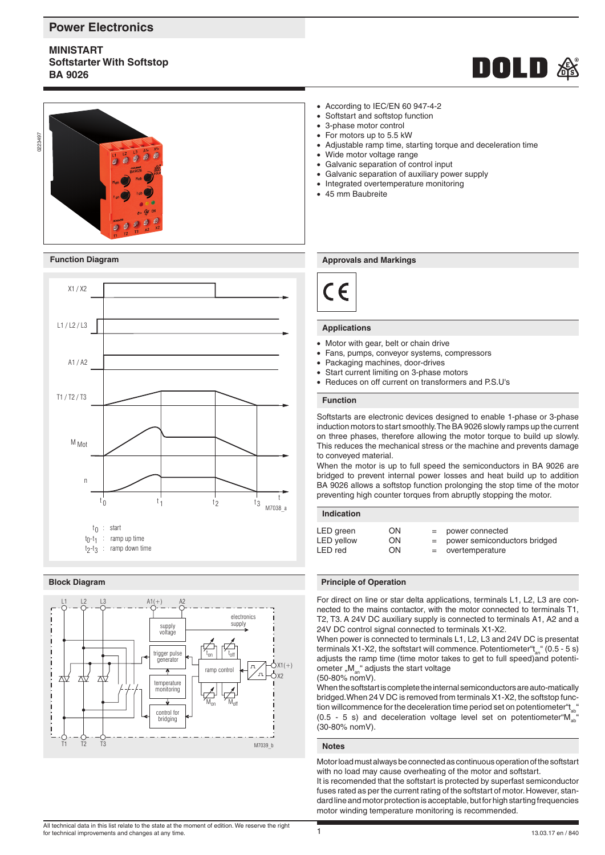# **Power Electronics**

# **MINISTART Softstarter With Softstop BA 9026**







## **Block Diagram**



#### • According to IEC/EN 60 947-4-2

- Softstart and softstop function
- 3-phase motor control
- For motors up to 5.5 kW
- Adjustable ramp time, starting torque and deceleration time
- Wide motor voltage range
- Galvanic separation of control input
- Galvanic separation of auxiliary power supply
- Integrated overtemperature monitoring
- 45 mm Baubreite

### **Function Diagram Approvals and Markings Approvals and Markings**



## **Applications**

- Motor with gear, belt or chain drive
- Fans, pumps, conveyor systems, compressors
- Packaging machines, door-drives
- Start current limiting on 3-phase motors
- Reduces on off current on transformers and P.S.U's

## **Function**

Softstarts are electronic devices designed to enable 1-phase or 3-phase induction motors to start smoothly. The BA 9026 slowly ramps up the current on three phases, therefore allowing the motor torque to build up slowly. This reduces the mechanical stress or the machine and prevents damage to conveyed material.

When the motor is up to full speed the semiconductors in BA 9026 are bridged to prevent internal power losses and heat build up to addition BA 9026 allows a softstop function prolonging the stop time of the motor preventing high counter torques from abruptly stopping the motor.

### **Indication**

#### **Principle of Operation**

For direct on line or star delta applications, terminals L1, L2, L3 are connected to the mains contactor, with the motor connected to terminals T1, T2, T3. A 24V DC auxiliary supply is connected to terminals A1, A2 and a 24V DC control signal connected to terminals X1-X2.

When power is connected to terminals L1, L2, L3 and 24V DC is presentat terminals X1-X2, the softstart will commence. Potentiometer  $t_{a}$  (0.5 - 5 s) adjusts the ramp time (time motor takes to get to full speed)and potentiometer " $M_{an}$ " adjusts the start voltage (50-80% nomV).

When the softstart is complete the internal semiconductors are auto-matically bridged.When 24 V DC is removed from terminals X1-X2, the softstop function will commence for the deceleration time period set on potentiometer  $t_{ab}$ <sup>\*</sup> (0.5 - 5 s) and deceleration voltage level set on potentiometer " $M_{ab}$ " (30-80% nomV).

## **Notes**

Motor load must always be connected as continuous operation of the softstart with no load may cause overheating of the motor and softstart.

It is recomended that the softstart is protected by superfast semiconductor fuses rated as per the current rating of the softstart of motor. However, standard line and motor protection is acceptable, but for high starting frequencies motor winding temperature monitoring is recommended.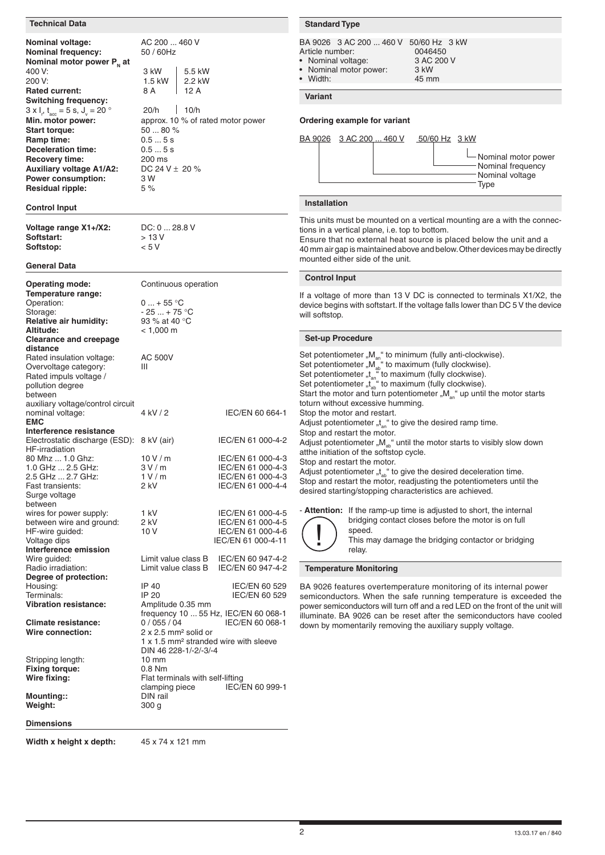| <b>Technical Data</b>                                                                                                                  |                                                                                                                                                                           |                                                                                   | <b>Standard Type</b>                                                                                                                |                                                                                                                                                                                                                                                                                                                                                         |                                                         |                                                                                                                                                                                                                              |
|----------------------------------------------------------------------------------------------------------------------------------------|---------------------------------------------------------------------------------------------------------------------------------------------------------------------------|-----------------------------------------------------------------------------------|-------------------------------------------------------------------------------------------------------------------------------------|---------------------------------------------------------------------------------------------------------------------------------------------------------------------------------------------------------------------------------------------------------------------------------------------------------------------------------------------------------|---------------------------------------------------------|------------------------------------------------------------------------------------------------------------------------------------------------------------------------------------------------------------------------------|
| Nominal voltage:<br><b>Nominal frequency:</b><br>Nominal motor power $P_{N}$ at<br>400 V:<br>200 V:                                    | AC 200  460 V<br>50 / 60Hz<br>3 kW<br>5.5 kW<br>2.2 kW<br>1.5 kW                                                                                                          |                                                                                   | Article number:<br>• Nominal voltage:<br>• Width:                                                                                   | BA 9026 3 AC 200  460 V<br>Nominal motor power:                                                                                                                                                                                                                                                                                                         | 50/60 Hz 3 kW<br>0046450<br>3 AC 200 V<br>3 kW<br>45 mm |                                                                                                                                                                                                                              |
| <b>Rated current:</b><br><b>Switching frequency:</b>                                                                                   | 8 A<br>12 A<br><b>Variant</b>                                                                                                                                             |                                                                                   |                                                                                                                                     |                                                                                                                                                                                                                                                                                                                                                         |                                                         |                                                                                                                                                                                                                              |
| $3 \times I_r$ , $t_{\text{acc}} = 5 \text{ s}$ , $J_v = 20$ °<br>Min. motor power:<br><b>Start torque:</b>                            | 10/h<br>20/h<br>approx. 10 % of rated motor power<br>50  80 %                                                                                                             | Ordering example for variant                                                      |                                                                                                                                     |                                                                                                                                                                                                                                                                                                                                                         |                                                         |                                                                                                                                                                                                                              |
| Ramp time:<br>Deceleration time:<br>Recovery time:<br><b>Auxiliary voltage A1/A2:</b><br>Power consumption:<br><b>Residual ripple:</b> | 0.55s<br>0.55s<br>200 ms<br>DC 24 V $\pm$ 20 %<br>3 W<br>5%                                                                                                               |                                                                                   |                                                                                                                                     | BA 9026 3 AC 200  460 V                                                                                                                                                                                                                                                                                                                                 | $50/60$ Hz $3$ kW                                       | Nominal motor power<br>Nominal frequency<br>Nominal voltage<br>Type                                                                                                                                                          |
| <b>Control Input</b>                                                                                                                   |                                                                                                                                                                           |                                                                                   | Installation                                                                                                                        |                                                                                                                                                                                                                                                                                                                                                         |                                                         |                                                                                                                                                                                                                              |
| Voltage range X1+/X2:<br>Softstart:<br>Softstop:                                                                                       | DC: 0  28.8 V<br>> 13 V<br>< 5 V                                                                                                                                          |                                                                                   |                                                                                                                                     | tions in a vertical plane, i.e. top to bottom.<br>mounted either side of the unit.                                                                                                                                                                                                                                                                      |                                                         | This units must be mounted on a vertical mounting are a with the connec-<br>Ensure that no external heat source is placed below the unit and a<br>40 mm air gap is maintained above and below. Other devices may be directly |
| <b>General Data</b>                                                                                                                    |                                                                                                                                                                           |                                                                                   | <b>Control Input</b>                                                                                                                |                                                                                                                                                                                                                                                                                                                                                         |                                                         |                                                                                                                                                                                                                              |
| <b>Operating mode:</b><br>Temperature range:<br>Operation:<br>Storage:<br><b>Relative air humidity:</b>                                | Continuous operation<br>$0$ + 55 °C<br>$-25+75$ °C<br>93 % at 40 °C                                                                                                       |                                                                                   | will softstop.                                                                                                                      |                                                                                                                                                                                                                                                                                                                                                         |                                                         | If a voltage of more than 13 V DC is connected to terminals X1/X2, the<br>device begins with softstart. If the voltage falls lower than DC 5 V the device                                                                    |
| Altitude:<br><b>Clearance and creepage</b>                                                                                             | $< 1,000 \text{ m}$                                                                                                                                                       |                                                                                   | <b>Set-up Procedure</b>                                                                                                             |                                                                                                                                                                                                                                                                                                                                                         |                                                         |                                                                                                                                                                                                                              |
| distance<br>Rated insulation voltage:<br>Overvoltage category:<br>Rated impuls voltage /<br>pollution degree<br>between                | <b>AC 500V</b><br>Ш                                                                                                                                                       |                                                                                   |                                                                                                                                     | Set potentiometer " $M_{an}$ " to minimum (fully anti-clockwise).<br>Set potentiometer "M <sub>an</sub> " to maximum (fully clockwise).<br>Set potentiometer "M <sub>an</sub> " to maximum (fully clockwise).<br>Set potentiometer "t <sub>an</sub> " to maximum (fully clockwise).<br>Set potentiometer "t <sub>an</sub> " to maximum (fully clockwise |                                                         | Start the motor and turn potentiometer " $M_{an}$ " up until the motor starts                                                                                                                                                |
| auxiliary voltage/control circuit<br>nominal voltage:<br><b>EMC</b>                                                                    | 4 kV / 2                                                                                                                                                                  | IEC/EN 60 664-1                                                                   |                                                                                                                                     | toturn without excessive humming.<br>Stop the motor and restart.<br>Adjust potentiometer " $t_{\text{an}}$ " to give the desired ramp time.                                                                                                                                                                                                             |                                                         |                                                                                                                                                                                                                              |
| Interference resistance<br>Electrostatic discharge (ESD): 8 kV (air)<br>HF-irradiation                                                 |                                                                                                                                                                           | IEC/EN 61 000-4-2                                                                 |                                                                                                                                     | Stop and restart the motor.<br>atthe initiation of the softstop cycle.                                                                                                                                                                                                                                                                                  |                                                         | Adjust potentiometer " $M_{ab}$ " until the motor starts to visibly slow down                                                                                                                                                |
| 80 Mhz  1.0 Ghz:<br>1.0 GHz  2.5 GHz:<br>2.5 GHz  2.7 GHz:<br>Fast transients:<br>Surge voltage                                        | 10V/m<br>3 V / m<br>1 V/m<br>2 kV                                                                                                                                         | IEC/EN 61 000-4-3<br>IEC/EN 61 000-4-3<br>IEC/EN 61 000-4-3<br>IEC/EN 61 000-4-4  |                                                                                                                                     | Stop and restart the motor.<br>desired starting/stopping characteristics are achieved.                                                                                                                                                                                                                                                                  |                                                         | Adjust potentiometer " $t_{ab}$ " to give the desired deceleration time.<br>Stop and restart the motor, readjusting the potentiometers until the                                                                             |
| between<br>wires for power supply:<br>between wire and ground:<br>HF-wire guided:<br>Voltage dips<br>Interference emission             | 1 kV<br>2 kV<br>10 V                                                                                                                                                      | IEC/EN 61 000-4-5<br>IEC/EN 61 000-4-5<br>IEC/EN 61 000-4-6<br>IEC/EN 61 000-4-11 |                                                                                                                                     | speed.<br>relay.                                                                                                                                                                                                                                                                                                                                        |                                                         | - Attention: If the ramp-up time is adjusted to short, the internal<br>bridging contact closes before the motor is on full<br>This may damage the bridging contactor or bridging                                             |
| Wire guided:<br>Radio irradiation:                                                                                                     | Limit value class B<br>Limit value class B                                                                                                                                | IEC/EN 60 947-4-2<br>IEC/EN 60 947-4-2                                            |                                                                                                                                     | <b>Temperature Monitoring</b>                                                                                                                                                                                                                                                                                                                           |                                                         |                                                                                                                                                                                                                              |
| Degree of protection:<br>Housing:<br>Terminals:<br><b>Vibration resistance:</b>                                                        | IP 40<br>IP 20<br>Amplitude 0.35 mm                                                                                                                                       | IEC/EN 60 529<br>IEC/EN 60 529                                                    |                                                                                                                                     |                                                                                                                                                                                                                                                                                                                                                         |                                                         | BA 9026 features overtemperature monitoring of its internal power<br>semiconductors. When the safe running temperature is exceeded the<br>power semiconductors will turn off and a red LED on the front of the unit will     |
| <b>Climate resistance:</b><br>Wire connection:                                                                                         | frequency 10  55 Hz, IEC/EN 60 068-1<br>0/055/04<br>$2 \times 2.5$ mm <sup>2</sup> solid or<br>1 x 1.5 mm <sup>2</sup> stranded wire with sleeve<br>DIN 46 228-1/-2/-3/-4 | IEC/EN 60 068-1                                                                   | illuminate. BA 9026 can be reset after the semiconductors have cooled<br>down by momentarily removing the auxiliary supply voltage. |                                                                                                                                                                                                                                                                                                                                                         |                                                         |                                                                                                                                                                                                                              |
| Stripping length:                                                                                                                      | $10 \text{ mm}$                                                                                                                                                           |                                                                                   |                                                                                                                                     |                                                                                                                                                                                                                                                                                                                                                         |                                                         |                                                                                                                                                                                                                              |
| <b>Fixing torque:</b><br>Wire fixing:                                                                                                  | 0.8 Nm<br>Flat terminals with self-lifting                                                                                                                                |                                                                                   |                                                                                                                                     |                                                                                                                                                                                                                                                                                                                                                         |                                                         |                                                                                                                                                                                                                              |
| Mounting::<br>Weight:                                                                                                                  | clamping piece<br>DIN rail<br>300 g                                                                                                                                       | IEC/EN 60 999-1                                                                   |                                                                                                                                     |                                                                                                                                                                                                                                                                                                                                                         |                                                         |                                                                                                                                                                                                                              |
| <b>Dimensions</b>                                                                                                                      |                                                                                                                                                                           |                                                                                   |                                                                                                                                     |                                                                                                                                                                                                                                                                                                                                                         |                                                         |                                                                                                                                                                                                                              |

**Width x height x depth:** 45 x 74 x 121 mm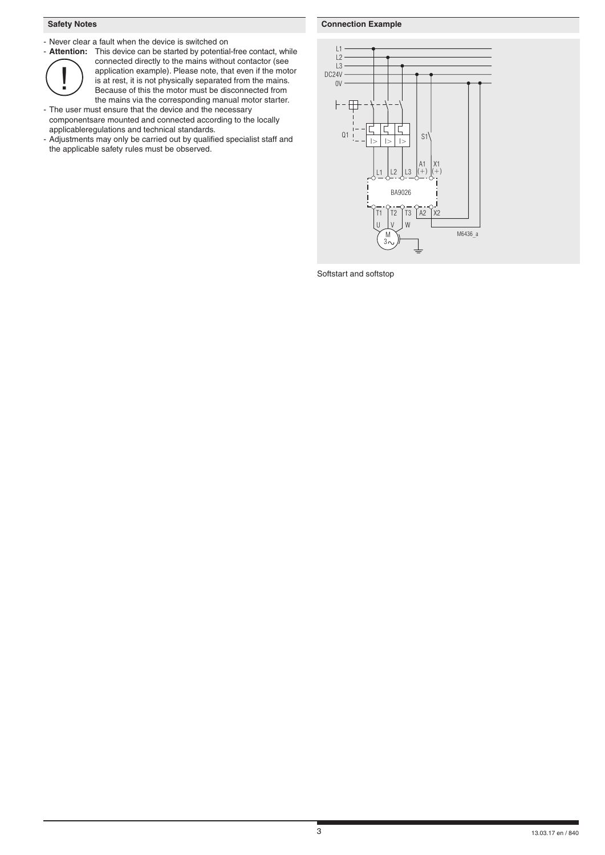# **Safety Notes**

- Never clear a fault when the device is switched on



- **Attention:** This device can be started by potential-free contact, while connected directly to the mains without contactor (see application example). Please note, that even if the motor is at rest, it is not physically separated from the mains. Because of this the motor must be disconnected from the mains via the corresponding manual motor starter.

- The user must ensure that the device and the necessary componentsare mounted and connected according to the locally applicableregulations and technical standards.

- Adjustments may only be carried out by qualified specialist staff and the applicable safety rules must be observed.

# **Connection Example**



Softstart and softstop